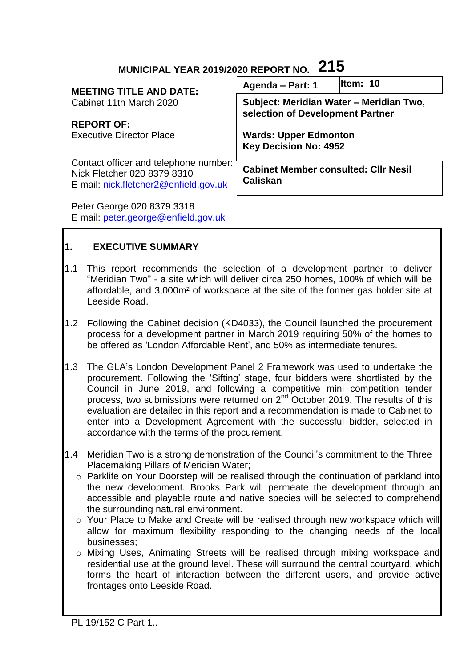# **MUNICIPAL YEAR 2019/2020 REPORT NO. 215**

| <b>MEETING TITLE AND DATE:</b>                                                                                | Agenda - Part: 1                                                            | lltem: 10 |
|---------------------------------------------------------------------------------------------------------------|-----------------------------------------------------------------------------|-----------|
| Cabinet 11th March 2020                                                                                       | Subject: Meridian Water - Meridian Two,<br>selection of Development Partner |           |
| <b>REPORT OF:</b>                                                                                             |                                                                             |           |
| <b>Executive Director Place</b>                                                                               | <b>Wards: Upper Edmonton</b><br><b>Key Decision No: 4952</b>                |           |
| Contact officer and telephone number:<br>Nick Fletcher 020 8379 8310<br>E mail: nick.fletcher2@enfield.gov.uk | <b>Cabinet Member consulted: CIIr Nesil</b><br><b>Caliskan</b>              |           |
| Peter George 020 8379 3318                                                                                    |                                                                             |           |

E mail: [peter.george@enfield.gov.uk](mailto:peter.george@enfield.gov.uk)

## **1. EXECUTIVE SUMMARY**

- 1.1 This report recommends the selection of a development partner to deliver "Meridian Two" - a site which will deliver circa 250 homes, 100% of which will be affordable, and 3,000m² of workspace at the site of the former gas holder site at Leeside Road.
- 1.2 Following the Cabinet decision (KD4033), the Council launched the procurement process for a development partner in March 2019 requiring 50% of the homes to be offered as 'London Affordable Rent', and 50% as intermediate tenures.
- 1.3 The GLA's London Development Panel 2 Framework was used to undertake the procurement. Following the 'Sifting' stage, four bidders were shortlisted by the Council in June 2019, and following a competitive mini competition tender process, two submissions were returned on  $2^{nd}$  October 2019. The results of this evaluation are detailed in this report and a recommendation is made to Cabinet to enter into a Development Agreement with the successful bidder, selected in accordance with the terms of the procurement.
- 1.4 Meridian Two is a strong demonstration of the Council's commitment to the Three Placemaking Pillars of Meridian Water;
	- $\circ$  Parklife on Your Doorstep will be realised through the continuation of parkland into the new development. Brooks Park will permeate the development through an accessible and playable route and native species will be selected to comprehend the surrounding natural environment.
	- o Your Place to Make and Create will be realised through new workspace which will allow for maximum flexibility responding to the changing needs of the local businesses;
	- o Mixing Uses, Animating Streets will be realised through mixing workspace and residential use at the ground level. These will surround the central courtyard, which forms the heart of interaction between the different users, and provide active frontages onto Leeside Road.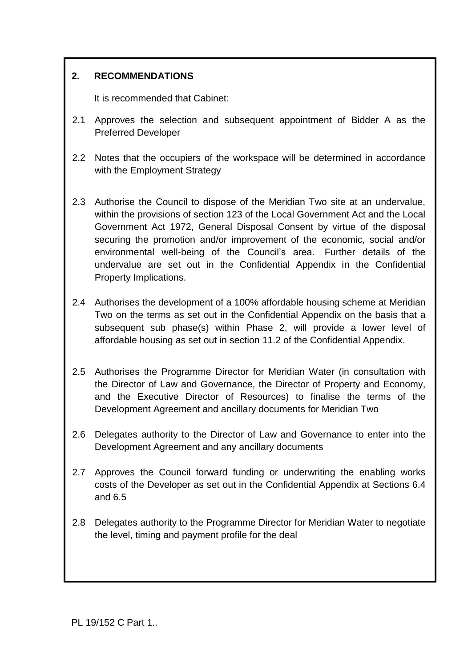## **2. RECOMMENDATIONS**

It is recommended that Cabinet:

- 2.1 Approves the selection and subsequent appointment of Bidder A as the Preferred Developer
- 2.2 Notes that the occupiers of the workspace will be determined in accordance with the Employment Strategy
- 2.3 Authorise the Council to dispose of the Meridian Two site at an undervalue, within the provisions of section 123 of the Local Government Act and the Local Government Act 1972, General Disposal Consent by virtue of the disposal securing the promotion and/or improvement of the economic, social and/or environmental well-being of the Council's area. Further details of the undervalue are set out in the Confidential Appendix in the Confidential Property Implications.
- 2.4 Authorises the development of a 100% affordable housing scheme at Meridian Two on the terms as set out in the Confidential Appendix on the basis that a subsequent sub phase(s) within Phase 2, will provide a lower level of affordable housing as set out in section 11.2 of the Confidential Appendix.
- 2.5 Authorises the Programme Director for Meridian Water (in consultation with the Director of Law and Governance, the Director of Property and Economy, and the Executive Director of Resources) to finalise the terms of the Development Agreement and ancillary documents for Meridian Two
- 2.6 Delegates authority to the Director of Law and Governance to enter into the Development Agreement and any ancillary documents
- 2.7 Approves the Council forward funding or underwriting the enabling works costs of the Developer as set out in the Confidential Appendix at Sections 6.4 and 6.5
- 2.8 Delegates authority to the Programme Director for Meridian Water to negotiate the level, timing and payment profile for the deal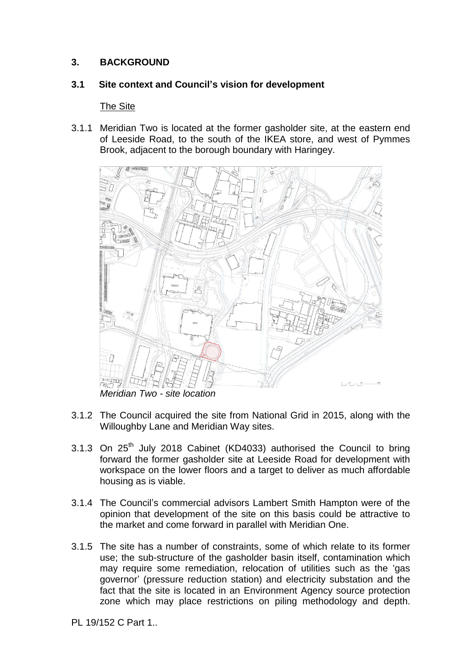#### **3. BACKGROUND**

#### **3.1 Site context and Council's vision for development**

#### The Site

3.1.1 Meridian Two is located at the former gasholder site, at the eastern end of Leeside Road, to the south of the IKEA store, and west of Pymmes Brook, adjacent to the borough boundary with Haringey.



*Meridian Two - site location*

- 3.1.2 The Council acquired the site from National Grid in 2015, along with the Willoughby Lane and Meridian Way sites.
- 3.1.3 On 25<sup>th</sup> July 2018 Cabinet (KD4033) authorised the Council to bring forward the former gasholder site at Leeside Road for development with workspace on the lower floors and a target to deliver as much affordable housing as is viable.
- 3.1.4 The Council's commercial advisors Lambert Smith Hampton were of the opinion that development of the site on this basis could be attractive to the market and come forward in parallel with Meridian One.
- 3.1.5 The site has a number of constraints, some of which relate to its former use; the sub-structure of the gasholder basin itself, contamination which may require some remediation, relocation of utilities such as the 'gas governor' (pressure reduction station) and electricity substation and the fact that the site is located in an Environment Agency source protection zone which may place restrictions on piling methodology and depth.

PL 19/152 C Part 1..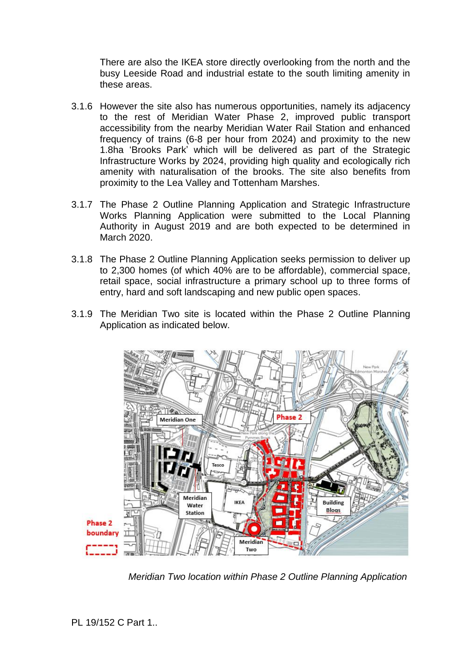There are also the IKEA store directly overlooking from the north and the busy Leeside Road and industrial estate to the south limiting amenity in these areas.

- 3.1.6 However the site also has numerous opportunities, namely its adjacency to the rest of Meridian Water Phase 2, improved public transport accessibility from the nearby Meridian Water Rail Station and enhanced frequency of trains (6-8 per hour from 2024) and proximity to the new 1.8ha 'Brooks Park' which will be delivered as part of the Strategic Infrastructure Works by 2024, providing high quality and ecologically rich amenity with naturalisation of the brooks. The site also benefits from proximity to the Lea Valley and Tottenham Marshes.
- 3.1.7 The Phase 2 Outline Planning Application and Strategic Infrastructure Works Planning Application were submitted to the Local Planning Authority in August 2019 and are both expected to be determined in March 2020.
- 3.1.8 The Phase 2 Outline Planning Application seeks permission to deliver up to 2,300 homes (of which 40% are to be affordable), commercial space, retail space, social infrastructure a primary school up to three forms of entry, hard and soft landscaping and new public open spaces.
- 3.1.9 The Meridian Two site is located within the Phase 2 Outline Planning Application as indicated below.



*Meridian Two location within Phase 2 Outline Planning Application*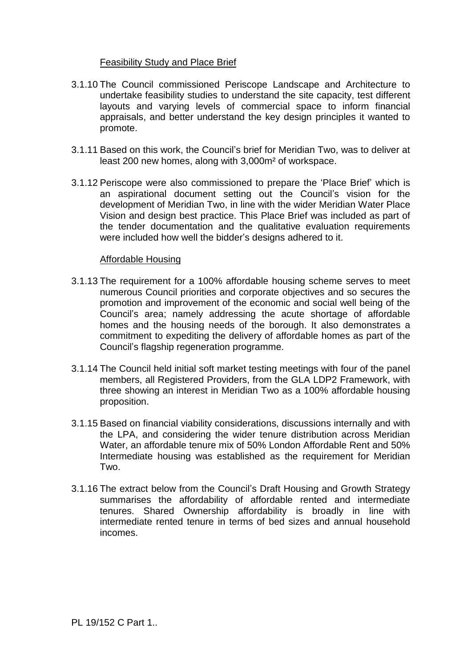#### Feasibility Study and Place Brief

- 3.1.10 The Council commissioned Periscope Landscape and Architecture to undertake feasibility studies to understand the site capacity, test different layouts and varying levels of commercial space to inform financial appraisals, and better understand the key design principles it wanted to promote.
- 3.1.11 Based on this work, the Council's brief for Meridian Two, was to deliver at least 200 new homes, along with 3,000m² of workspace.
- 3.1.12 Periscope were also commissioned to prepare the 'Place Brief' which is an aspirational document setting out the Council's vision for the development of Meridian Two, in line with the wider Meridian Water Place Vision and design best practice. This Place Brief was included as part of the tender documentation and the qualitative evaluation requirements were included how well the bidder's designs adhered to it.

#### Affordable Housing

- 3.1.13 The requirement for a 100% affordable housing scheme serves to meet numerous Council priorities and corporate objectives and so secures the promotion and improvement of the economic and social well being of the Council's area; namely addressing the acute shortage of affordable homes and the housing needs of the borough. It also demonstrates a commitment to expediting the delivery of affordable homes as part of the Council's flagship regeneration programme.
- 3.1.14 The Council held initial soft market testing meetings with four of the panel members, all Registered Providers, from the GLA LDP2 Framework, with three showing an interest in Meridian Two as a 100% affordable housing proposition.
- 3.1.15 Based on financial viability considerations, discussions internally and with the LPA, and considering the wider tenure distribution across Meridian Water, an affordable tenure mix of 50% London Affordable Rent and 50% Intermediate housing was established as the requirement for Meridian Two.
- 3.1.16 The extract below from the Council's Draft Housing and Growth Strategy summarises the affordability of affordable rented and intermediate tenures. Shared Ownership affordability is broadly in line with intermediate rented tenure in terms of bed sizes and annual household incomes.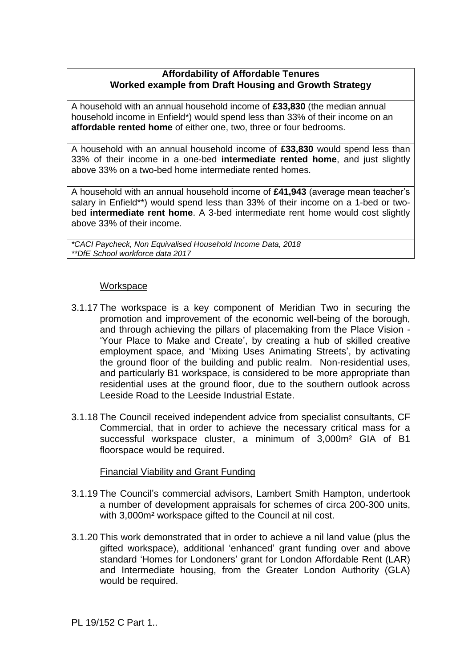#### **Affordability of Affordable Tenures Worked example from Draft Housing and Growth Strategy**

A household with an annual household income of **£33,830** (the median annual household income in Enfield\*) would spend less than 33% of their income on an **affordable rented home** of either one, two, three or four bedrooms.

A household with an annual household income of **£33,830** would spend less than 33% of their income in a one-bed **intermediate rented home**, and just slightly above 33% on a two-bed home intermediate rented homes.

A household with an annual household income of **£41,943** (average mean teacher's salary in Enfield\*\*) would spend less than 33% of their income on a 1-bed or twobed **intermediate rent home**. A 3-bed intermediate rent home would cost slightly above 33% of their income.

*\*CACI Paycheck, Non Equivalised Household Income Data, 2018 \*\*DfE School workforce data 2017* 

#### **Workspace**

- 3.1.17 The workspace is a key component of Meridian Two in securing the promotion and improvement of the economic well-being of the borough, and through achieving the pillars of placemaking from the Place Vision - 'Your Place to Make and Create', by creating a hub of skilled creative employment space, and 'Mixing Uses Animating Streets', by activating the ground floor of the building and public realm. Non-residential uses, and particularly B1 workspace, is considered to be more appropriate than residential uses at the ground floor, due to the southern outlook across Leeside Road to the Leeside Industrial Estate.
- 3.1.18 The Council received independent advice from specialist consultants, CF Commercial, that in order to achieve the necessary critical mass for a successful workspace cluster, a minimum of 3,000m<sup>2</sup> GIA of B1 floorspace would be required.

#### Financial Viability and Grant Funding

- 3.1.19 The Council's commercial advisors, Lambert Smith Hampton, undertook a number of development appraisals for schemes of circa 200-300 units, with 3,000m² workspace gifted to the Council at nil cost.
- 3.1.20 This work demonstrated that in order to achieve a nil land value (plus the gifted workspace), additional 'enhanced' grant funding over and above standard 'Homes for Londoners' grant for London Affordable Rent (LAR) and Intermediate housing, from the Greater London Authority (GLA) would be required.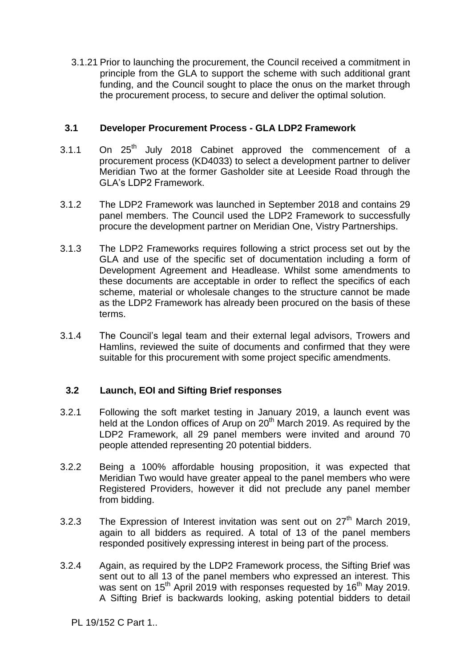3.1.21 Prior to launching the procurement, the Council received a commitment in principle from the GLA to support the scheme with such additional grant funding, and the Council sought to place the onus on the market through the procurement process, to secure and deliver the optimal solution.

#### **3.1 Developer Procurement Process - GLA LDP2 Framework**

- 3.1.1 On 25<sup>th</sup> July 2018 Cabinet approved the commencement of a procurement process (KD4033) to select a development partner to deliver Meridian Two at the former Gasholder site at Leeside Road through the GLA's LDP2 Framework.
- 3.1.2 The LDP2 Framework was launched in September 2018 and contains 29 panel members. The Council used the LDP2 Framework to successfully procure the development partner on Meridian One, Vistry Partnerships.
- 3.1.3 The LDP2 Frameworks requires following a strict process set out by the GLA and use of the specific set of documentation including a form of Development Agreement and Headlease. Whilst some amendments to these documents are acceptable in order to reflect the specifics of each scheme, material or wholesale changes to the structure cannot be made as the LDP2 Framework has already been procured on the basis of these terms.
- 3.1.4 The Council's legal team and their external legal advisors, Trowers and Hamlins, reviewed the suite of documents and confirmed that they were suitable for this procurement with some project specific amendments.

#### **3.2 Launch, EOI and Sifting Brief responses**

- 3.2.1 Following the soft market testing in January 2019, a launch event was held at the London offices of Arup on 20<sup>th</sup> March 2019. As required by the LDP2 Framework, all 29 panel members were invited and around 70 people attended representing 20 potential bidders.
- 3.2.2 Being a 100% affordable housing proposition, it was expected that Meridian Two would have greater appeal to the panel members who were Registered Providers, however it did not preclude any panel member from bidding.
- 3.2.3 The Expression of Interest invitation was sent out on  $27<sup>th</sup>$  March 2019, again to all bidders as required. A total of 13 of the panel members responded positively expressing interest in being part of the process.
- 3.2.4 Again, as required by the LDP2 Framework process, the Sifting Brief was sent out to all 13 of the panel members who expressed an interest. This was sent on 15<sup>th</sup> April 2019 with responses requested by 16<sup>th</sup> May 2019. A Sifting Brief is backwards looking, asking potential bidders to detail

PL 19/152 C Part 1..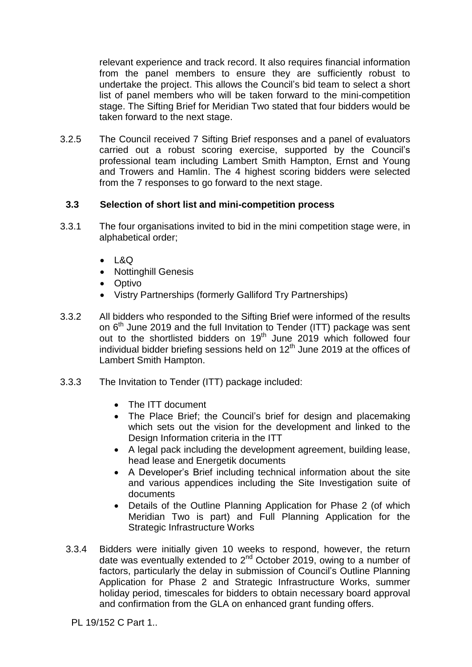relevant experience and track record. It also requires financial information from the panel members to ensure they are sufficiently robust to undertake the project. This allows the Council's bid team to select a short list of panel members who will be taken forward to the mini-competition stage. The Sifting Brief for Meridian Two stated that four bidders would be taken forward to the next stage.

3.2.5 The Council received 7 Sifting Brief responses and a panel of evaluators carried out a robust scoring exercise, supported by the Council's professional team including Lambert Smith Hampton, Ernst and Young and Trowers and Hamlin. The 4 highest scoring bidders were selected from the 7 responses to go forward to the next stage.

#### **3.3 Selection of short list and mini-competition process**

- 3.3.1 The four organisations invited to bid in the mini competition stage were, in alphabetical order;
	- $-L&Q$
	- Nottinghill Genesis
	- Optivo
	- Vistry Partnerships (formerly Galliford Try Partnerships)
- 3.3.2 All bidders who responded to the Sifting Brief were informed of the results on 6<sup>th</sup> June 2019 and the full Invitation to Tender (ITT) package was sent out to the shortlisted bidders on  $19<sup>th</sup>$  June 2019 which followed four individual bidder briefing sessions held on  $12<sup>th</sup>$  June 2019 at the offices of Lambert Smith Hampton.
- 3.3.3 The Invitation to Tender (ITT) package included:
	- The ITT document
	- The Place Brief; the Council's brief for design and placemaking which sets out the vision for the development and linked to the Design Information criteria in the ITT
	- A legal pack including the development agreement, building lease, head lease and Energetik documents
	- A Developer's Brief including technical information about the site and various appendices including the Site Investigation suite of documents
	- Details of the Outline Planning Application for Phase 2 (of which Meridian Two is part) and Full Planning Application for the Strategic Infrastructure Works
	- 3.3.4 Bidders were initially given 10 weeks to respond, however, the return date was eventually extended to  $2^{nd}$  October 2019, owing to a number of factors, particularly the delay in submission of Council's Outline Planning Application for Phase 2 and Strategic Infrastructure Works, summer holiday period, timescales for bidders to obtain necessary board approval and confirmation from the GLA on enhanced grant funding offers.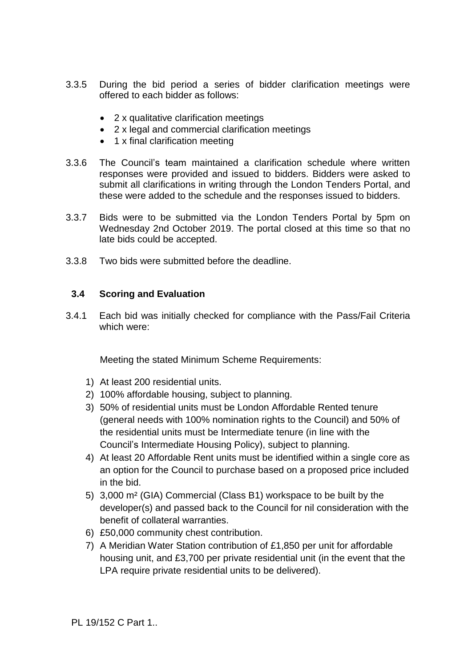- 3.3.5 During the bid period a series of bidder clarification meetings were offered to each bidder as follows:
	- 2 x qualitative clarification meetings
	- 2 x legal and commercial clarification meetings
	- 1 x final clarification meeting
- 3.3.6 The Council's team maintained a clarification schedule where written responses were provided and issued to bidders. Bidders were asked to submit all clarifications in writing through the London Tenders Portal, and these were added to the schedule and the responses issued to bidders.
- 3.3.7 Bids were to be submitted via the London Tenders Portal by 5pm on Wednesday 2nd October 2019. The portal closed at this time so that no late bids could be accepted.
- 3.3.8 Two bids were submitted before the deadline.

#### **3.4 Scoring and Evaluation**

3.4.1 Each bid was initially checked for compliance with the Pass/Fail Criteria which were:

Meeting the stated Minimum Scheme Requirements:

- 1) At least 200 residential units.
- 2) 100% affordable housing, subject to planning.
- 3) 50% of residential units must be London Affordable Rented tenure (general needs with 100% nomination rights to the Council) and 50% of the residential units must be Intermediate tenure (in line with the Council's Intermediate Housing Policy), subject to planning.
- 4) At least 20 Affordable Rent units must be identified within a single core as an option for the Council to purchase based on a proposed price included in the bid.
- 5) 3,000 m² (GIA) Commercial (Class B1) workspace to be built by the developer(s) and passed back to the Council for nil consideration with the benefit of collateral warranties.
- 6) £50,000 community chest contribution.
- 7) A Meridian Water Station contribution of £1,850 per unit for affordable housing unit, and £3,700 per private residential unit (in the event that the LPA require private residential units to be delivered).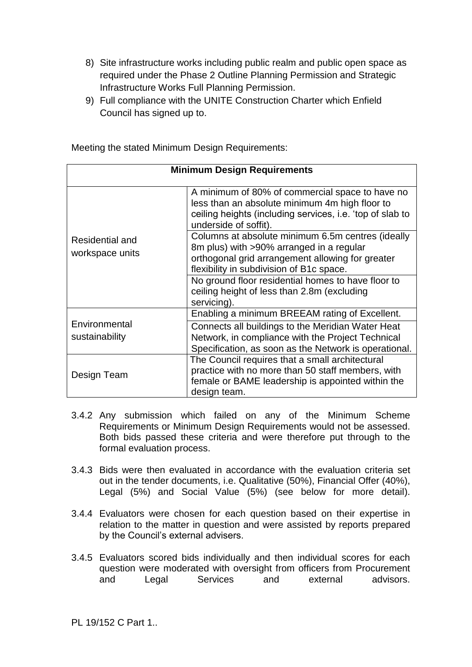- 8) Site infrastructure works including public realm and public open space as required under the Phase 2 Outline Planning Permission and Strategic Infrastructure Works Full Planning Permission.
- 9) Full compliance with the UNITE Construction Charter which Enfield Council has signed up to.

| <b>Minimum Design Requirements</b> |                                                                                                                                                                                               |  |
|------------------------------------|-----------------------------------------------------------------------------------------------------------------------------------------------------------------------------------------------|--|
|                                    | A minimum of 80% of commercial space to have no<br>less than an absolute minimum 4m high floor to<br>ceiling heights (including services, i.e. 'top of slab to<br>underside of soffit).       |  |
| Residential and<br>workspace units | Columns at absolute minimum 6.5m centres (ideally<br>8m plus) with >90% arranged in a regular<br>orthogonal grid arrangement allowing for greater<br>flexibility in subdivision of B1c space. |  |
|                                    | No ground floor residential homes to have floor to<br>ceiling height of less than 2.8m (excluding<br>servicing).                                                                              |  |
|                                    | Enabling a minimum BREEAM rating of Excellent.                                                                                                                                                |  |
| Environmental<br>sustainability    | Connects all buildings to the Meridian Water Heat<br>Network, in compliance with the Project Technical<br>Specification, as soon as the Network is operational.                               |  |
| Design Team                        | The Council requires that a small architectural<br>practice with no more than 50 staff members, with<br>female or BAME leadership is appointed within the<br>design team.                     |  |

Meeting the stated Minimum Design Requirements:

- 3.4.2 Any submission which failed on any of the Minimum Scheme Requirements or Minimum Design Requirements would not be assessed. Both bids passed these criteria and were therefore put through to the formal evaluation process.
- 3.4.3 Bids were then evaluated in accordance with the evaluation criteria set out in the tender documents, i.e. Qualitative (50%), Financial Offer (40%), Legal (5%) and Social Value (5%) (see below for more detail).
- 3.4.4 Evaluators were chosen for each question based on their expertise in relation to the matter in question and were assisted by reports prepared by the Council's external advisers.
- 3.4.5 Evaluators scored bids individually and then individual scores for each question were moderated with oversight from officers from Procurement and Legal Services and external advisors.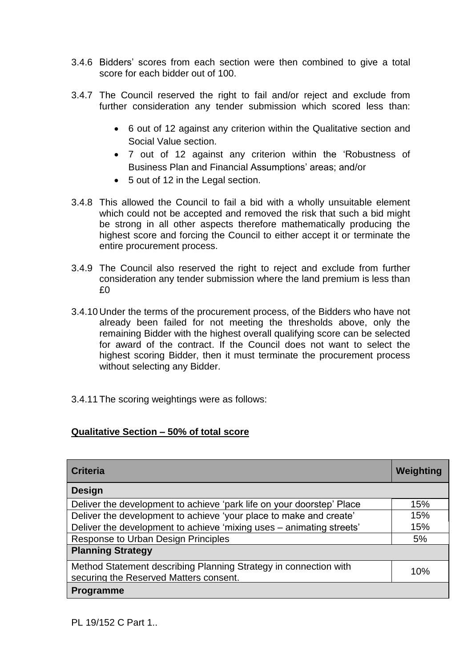- 3.4.6 Bidders' scores from each section were then combined to give a total score for each bidder out of 100.
- 3.4.7 The Council reserved the right to fail and/or reject and exclude from further consideration any tender submission which scored less than:
	- 6 out of 12 against any criterion within the Qualitative section and Social Value section.
	- 7 out of 12 against any criterion within the 'Robustness of Business Plan and Financial Assumptions' areas; and/or
	- 5 out of 12 in the Legal section.
- 3.4.8 This allowed the Council to fail a bid with a wholly unsuitable element which could not be accepted and removed the risk that such a bid might be strong in all other aspects therefore mathematically producing the highest score and forcing the Council to either accept it or terminate the entire procurement process.
- 3.4.9 The Council also reserved the right to reject and exclude from further consideration any tender submission where the land premium is less than £0
- 3.4.10 Under the terms of the procurement process, of the Bidders who have not already been failed for not meeting the thresholds above, only the remaining Bidder with the highest overall qualifying score can be selected for award of the contract. If the Council does not want to select the highest scoring Bidder, then it must terminate the procurement process without selecting any Bidder.
- 3.4.11 The scoring weightings were as follows:

#### **Qualitative Section – 50% of total score**

| <b>Criteria</b>                                                                                            | Weighting |
|------------------------------------------------------------------------------------------------------------|-----------|
| <b>Design</b>                                                                                              |           |
| Deliver the development to achieve 'park life on your doorstep' Place                                      | 15%       |
| Deliver the development to achieve 'your place to make and create'                                         | 15%       |
| Deliver the development to achieve 'mixing uses - animating streets'                                       | 15%       |
| <b>Response to Urban Design Principles</b>                                                                 | 5%        |
| <b>Planning Strategy</b>                                                                                   |           |
| Method Statement describing Planning Strategy in connection with<br>securing the Reserved Matters consent. | 10%       |
| <b>Programme</b>                                                                                           |           |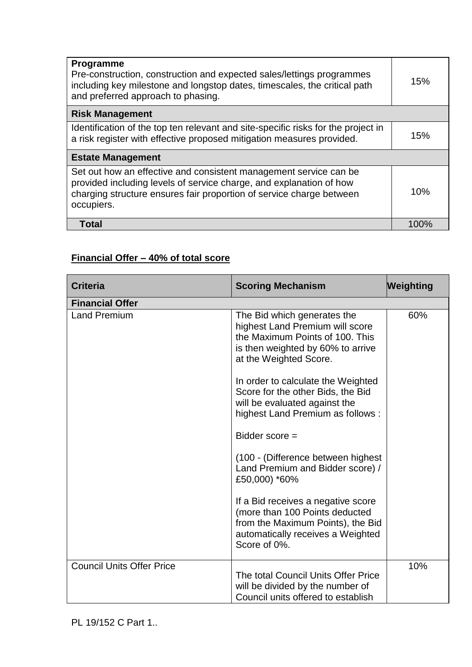| <b>Programme</b><br>Pre-construction, construction and expected sales/lettings programmes<br>including key milestone and longstop dates, timescales, the critical path<br>and preferred approach to phasing.                   | 15%  |
|--------------------------------------------------------------------------------------------------------------------------------------------------------------------------------------------------------------------------------|------|
| <b>Risk Management</b>                                                                                                                                                                                                         |      |
| Identification of the top ten relevant and site-specific risks for the project in<br>a risk register with effective proposed mitigation measures provided.                                                                     |      |
| <b>Estate Management</b>                                                                                                                                                                                                       |      |
| Set out how an effective and consistent management service can be<br>provided including levels of service charge, and explanation of how<br>charging structure ensures fair proportion of service charge between<br>occupiers. |      |
| <b>Total</b>                                                                                                                                                                                                                   | 100% |

## **Financial Offer – 40% of total score**

| <b>Criteria</b>                  | <b>Scoring Mechanism</b>                                                                                                                                                                                                                                                                                         | Weighting |
|----------------------------------|------------------------------------------------------------------------------------------------------------------------------------------------------------------------------------------------------------------------------------------------------------------------------------------------------------------|-----------|
| <b>Financial Offer</b>           |                                                                                                                                                                                                                                                                                                                  |           |
| <b>Land Premium</b>              | The Bid which generates the<br>highest Land Premium will score<br>the Maximum Points of 100. This<br>is then weighted by 60% to arrive<br>at the Weighted Score.<br>In order to calculate the Weighted<br>Score for the other Bids, the Bid<br>will be evaluated against the<br>highest Land Premium as follows: | 60%       |
|                                  | Bidder score =                                                                                                                                                                                                                                                                                                   |           |
|                                  | (100 - (Difference between highest<br>Land Premium and Bidder score) /<br>£50,000) *60%                                                                                                                                                                                                                          |           |
|                                  | If a Bid receives a negative score<br>(more than 100 Points deducted<br>from the Maximum Points), the Bid<br>automatically receives a Weighted<br>Score of 0%.                                                                                                                                                   |           |
| <b>Council Units Offer Price</b> | The total Council Units Offer Price<br>will be divided by the number of<br>Council units offered to establish                                                                                                                                                                                                    | 10%       |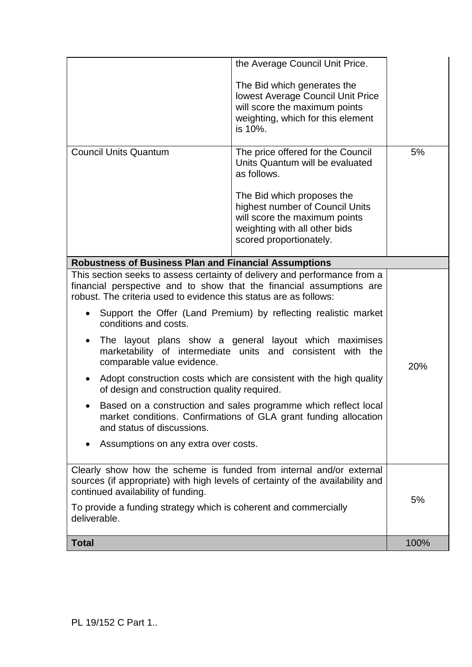| <b>Total</b>                                                                                                                                                                                                                                                                           |                                                                                                                                                                                             | 100% |
|----------------------------------------------------------------------------------------------------------------------------------------------------------------------------------------------------------------------------------------------------------------------------------------|---------------------------------------------------------------------------------------------------------------------------------------------------------------------------------------------|------|
| Clearly show how the scheme is funded from internal and/or external<br>sources (if appropriate) with high levels of certainty of the availability and<br>continued availability of funding.<br>To provide a funding strategy which is coherent and commercially<br>deliverable.        |                                                                                                                                                                                             | 5%   |
| Assumptions on any extra over costs.<br>$\bullet$                                                                                                                                                                                                                                      |                                                                                                                                                                                             |      |
| Based on a construction and sales programme which reflect local<br>market conditions. Confirmations of GLA grant funding allocation<br>and status of discussions.                                                                                                                      |                                                                                                                                                                                             |      |
| Adopt construction costs which are consistent with the high quality<br>of design and construction quality required.                                                                                                                                                                    |                                                                                                                                                                                             |      |
| The layout plans show a general layout which maximises<br>$\bullet$<br>marketability of intermediate units and consistent with the<br>comparable value evidence.                                                                                                                       |                                                                                                                                                                                             | 20%  |
| $\bullet$<br>conditions and costs.                                                                                                                                                                                                                                                     | Support the Offer (Land Premium) by reflecting realistic market                                                                                                                             |      |
| <b>Robustness of Business Plan and Financial Assumptions</b><br>This section seeks to assess certainty of delivery and performance from a<br>financial perspective and to show that the financial assumptions are<br>robust. The criteria used to evidence this status are as follows: |                                                                                                                                                                                             |      |
|                                                                                                                                                                                                                                                                                        |                                                                                                                                                                                             |      |
|                                                                                                                                                                                                                                                                                        | The Bid which proposes the<br>highest number of Council Units<br>will score the maximum points<br>weighting with all other bids<br>scored proportionately.                                  |      |
| <b>Council Units Quantum</b>                                                                                                                                                                                                                                                           | The price offered for the Council<br>Units Quantum will be evaluated<br>as follows.                                                                                                         | 5%   |
|                                                                                                                                                                                                                                                                                        | the Average Council Unit Price.<br>The Bid which generates the<br><b>lowest Average Council Unit Price</b><br>will score the maximum points<br>weighting, which for this element<br>is 10%. |      |
|                                                                                                                                                                                                                                                                                        |                                                                                                                                                                                             |      |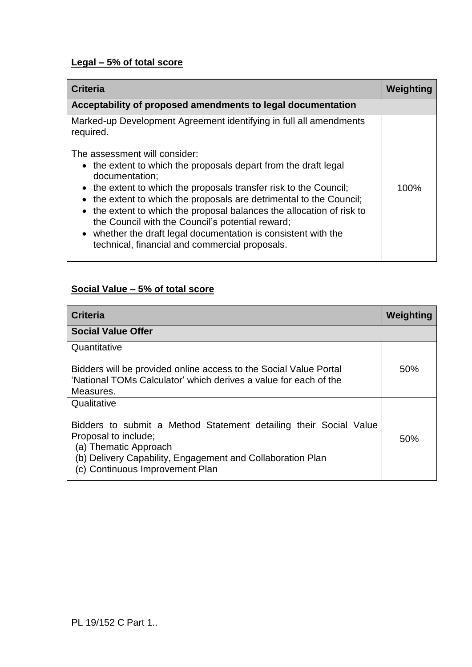## **Legal – 5% of total score**

| <b>Criteria</b>                                                                                                           | Weighting |
|---------------------------------------------------------------------------------------------------------------------------|-----------|
| Acceptability of proposed amendments to legal documentation                                                               |           |
| Marked-up Development Agreement identifying in full all amendments<br>required.                                           |           |
| The assessment will consider:                                                                                             |           |
| • the extent to which the proposals depart from the draft legal<br>documentation;                                         |           |
| • the extent to which the proposals transfer risk to the Council;                                                         | 100%      |
| the extent to which the proposals are detrimental to the Council;<br>$\bullet$                                            |           |
| • the extent to which the proposal balances the allocation of risk to<br>the Council with the Council's potential reward; |           |
| • whether the draft legal documentation is consistent with the<br>technical, financial and commercial proposals.          |           |
|                                                                                                                           |           |

## **Social Value – 5% of total score**

| <b>Criteria</b>                                                                                                                                                                                                     | Weighting |
|---------------------------------------------------------------------------------------------------------------------------------------------------------------------------------------------------------------------|-----------|
| <b>Social Value Offer</b>                                                                                                                                                                                           |           |
| Quantitative                                                                                                                                                                                                        |           |
| Bidders will be provided online access to the Social Value Portal<br>'National TOMs Calculator' which derives a value for each of the                                                                               | 50%       |
| Measures.                                                                                                                                                                                                           |           |
| Qualitative                                                                                                                                                                                                         |           |
| Bidders to submit a Method Statement detailing their Social Value<br>Proposal to include;<br>(a) Thematic Approach<br>(b) Delivery Capability, Engagement and Collaboration Plan<br>(c) Continuous Improvement Plan | 50%       |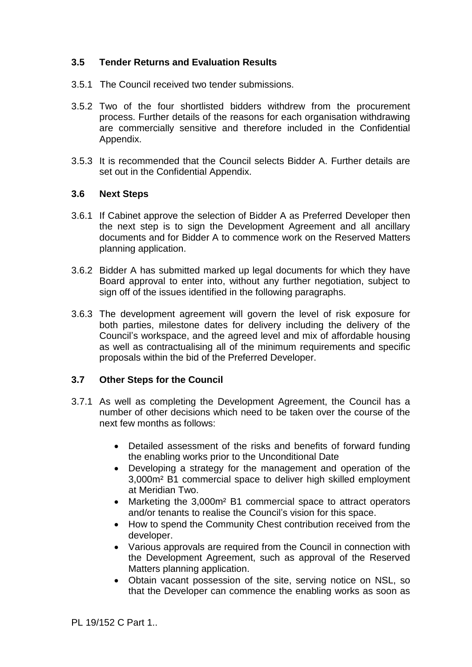#### **3.5 Tender Returns and Evaluation Results**

- 3.5.1 The Council received two tender submissions.
- 3.5.2 Two of the four shortlisted bidders withdrew from the procurement process. Further details of the reasons for each organisation withdrawing are commercially sensitive and therefore included in the Confidential Appendix.
- 3.5.3 It is recommended that the Council selects Bidder A. Further details are set out in the Confidential Appendix.

#### **3.6 Next Steps**

- 3.6.1 If Cabinet approve the selection of Bidder A as Preferred Developer then the next step is to sign the Development Agreement and all ancillary documents and for Bidder A to commence work on the Reserved Matters planning application.
- 3.6.2 Bidder A has submitted marked up legal documents for which they have Board approval to enter into, without any further negotiation, subject to sign off of the issues identified in the following paragraphs.
- 3.6.3 The development agreement will govern the level of risk exposure for both parties, milestone dates for delivery including the delivery of the Council's workspace, and the agreed level and mix of affordable housing as well as contractualising all of the minimum requirements and specific proposals within the bid of the Preferred Developer.

#### **3.7 Other Steps for the Council**

- 3.7.1 As well as completing the Development Agreement, the Council has a number of other decisions which need to be taken over the course of the next few months as follows:
	- Detailed assessment of the risks and benefits of forward funding the enabling works prior to the Unconditional Date
	- Developing a strategy for the management and operation of the 3,000m² B1 commercial space to deliver high skilled employment at Meridian Two.
	- Marketing the 3,000m² B1 commercial space to attract operators and/or tenants to realise the Council's vision for this space.
	- How to spend the Community Chest contribution received from the developer.
	- Various approvals are required from the Council in connection with the Development Agreement, such as approval of the Reserved Matters planning application.
	- Obtain vacant possession of the site, serving notice on NSL, so that the Developer can commence the enabling works as soon as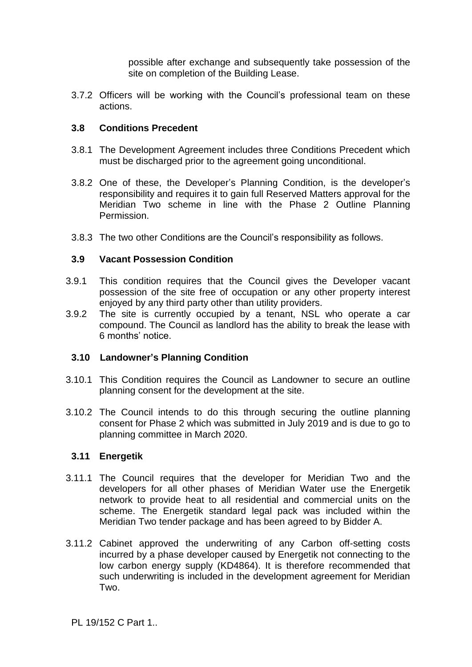possible after exchange and subsequently take possession of the site on completion of the Building Lease.

3.7.2 Officers will be working with the Council's professional team on these actions.

#### **3.8 Conditions Precedent**

- 3.8.1 The Development Agreement includes three Conditions Precedent which must be discharged prior to the agreement going unconditional.
- 3.8.2 One of these, the Developer's Planning Condition, is the developer's responsibility and requires it to gain full Reserved Matters approval for the Meridian Two scheme in line with the Phase 2 Outline Planning Permission.
- 3.8.3 The two other Conditions are the Council's responsibility as follows.

#### **3.9 Vacant Possession Condition**

- 3.9.1 This condition requires that the Council gives the Developer vacant possession of the site free of occupation or any other property interest enjoyed by any third party other than utility providers.
- 3.9.2 The site is currently occupied by a tenant, NSL who operate a car compound. The Council as landlord has the ability to break the lease with 6 months' notice.

#### **3.10 Landowner's Planning Condition**

- 3.10.1 This Condition requires the Council as Landowner to secure an outline planning consent for the development at the site.
- 3.10.2 The Council intends to do this through securing the outline planning consent for Phase 2 which was submitted in July 2019 and is due to go to planning committee in March 2020.

#### **3.11 Energetik**

- 3.11.1 The Council requires that the developer for Meridian Two and the developers for all other phases of Meridian Water use the Energetik network to provide heat to all residential and commercial units on the scheme. The Energetik standard legal pack was included within the Meridian Two tender package and has been agreed to by Bidder A.
- 3.11.2 Cabinet approved the underwriting of any Carbon off-setting costs incurred by a phase developer caused by Energetik not connecting to the low carbon energy supply (KD4864). It is therefore recommended that such underwriting is included in the development agreement for Meridian Two.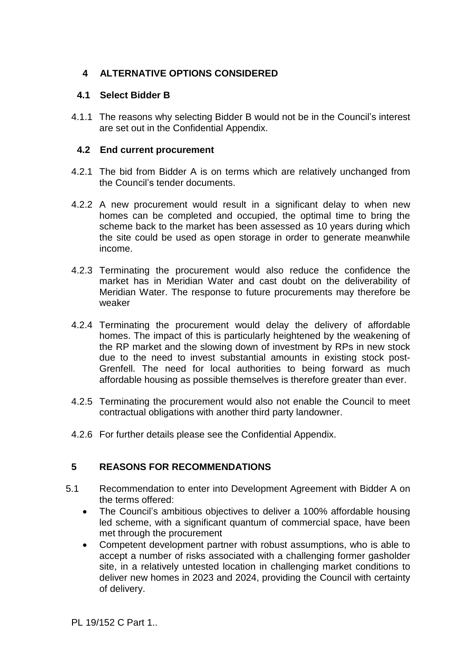#### **4 ALTERNATIVE OPTIONS CONSIDERED**

#### **4.1 Select Bidder B**

4.1.1 The reasons why selecting Bidder B would not be in the Council's interest are set out in the Confidential Appendix.

#### **4.2 End current procurement**

- 4.2.1 The bid from Bidder A is on terms which are relatively unchanged from the Council's tender documents.
- 4.2.2 A new procurement would result in a significant delay to when new homes can be completed and occupied, the optimal time to bring the scheme back to the market has been assessed as 10 years during which the site could be used as open storage in order to generate meanwhile income.
- 4.2.3 Terminating the procurement would also reduce the confidence the market has in Meridian Water and cast doubt on the deliverability of Meridian Water. The response to future procurements may therefore be weaker
- 4.2.4 Terminating the procurement would delay the delivery of affordable homes. The impact of this is particularly heightened by the weakening of the RP market and the slowing down of investment by RPs in new stock due to the need to invest substantial amounts in existing stock post-Grenfell. The need for local authorities to being forward as much affordable housing as possible themselves is therefore greater than ever.
- 4.2.5 Terminating the procurement would also not enable the Council to meet contractual obligations with another third party landowner.
- 4.2.6 For further details please see the Confidential Appendix.

#### **5 REASONS FOR RECOMMENDATIONS**

- 5.1 Recommendation to enter into Development Agreement with Bidder A on the terms offered:
	- The Council's ambitious objectives to deliver a 100% affordable housing led scheme, with a significant quantum of commercial space, have been met through the procurement
	- Competent development partner with robust assumptions, who is able to accept a number of risks associated with a challenging former gasholder site, in a relatively untested location in challenging market conditions to deliver new homes in 2023 and 2024, providing the Council with certainty of delivery.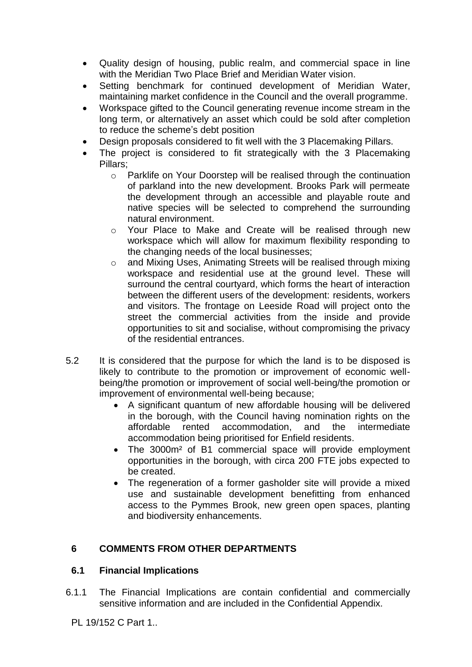- Quality design of housing, public realm, and commercial space in line with the Meridian Two Place Brief and Meridian Water vision.
- Setting benchmark for continued development of Meridian Water, maintaining market confidence in the Council and the overall programme.
- Workspace gifted to the Council generating revenue income stream in the long term, or alternatively an asset which could be sold after completion to reduce the scheme's debt position
- Design proposals considered to fit well with the 3 Placemaking Pillars.
- The project is considered to fit strategically with the 3 Placemaking Pillars;
	- o Parklife on Your Doorstep will be realised through the continuation of parkland into the new development. Brooks Park will permeate the development through an accessible and playable route and native species will be selected to comprehend the surrounding natural environment.
	- o Your Place to Make and Create will be realised through new workspace which will allow for maximum flexibility responding to the changing needs of the local businesses;
	- o and Mixing Uses, Animating Streets will be realised through mixing workspace and residential use at the ground level. These will surround the central courtyard, which forms the heart of interaction between the different users of the development: residents, workers and visitors. The frontage on Leeside Road will project onto the street the commercial activities from the inside and provide opportunities to sit and socialise, without compromising the privacy of the residential entrances.
- 5.2 It is considered that the purpose for which the land is to be disposed is likely to contribute to the promotion or improvement of economic wellbeing/the promotion or improvement of social well-being/the promotion or improvement of environmental well-being because;
	- A significant quantum of new affordable housing will be delivered in the borough, with the Council having nomination rights on the affordable rented accommodation, and the intermediate accommodation being prioritised for Enfield residents.
	- The 3000m<sup>2</sup> of B1 commercial space will provide employment opportunities in the borough, with circa 200 FTE jobs expected to be created.
	- The regeneration of a former gasholder site will provide a mixed use and sustainable development benefitting from enhanced access to the Pymmes Brook, new green open spaces, planting and biodiversity enhancements.

#### **6 COMMENTS FROM OTHER DEPARTMENTS**

#### **6.1 Financial Implications**

6.1.1 The Financial Implications are contain confidential and commercially sensitive information and are included in the Confidential Appendix.

PL 19/152 C Part 1..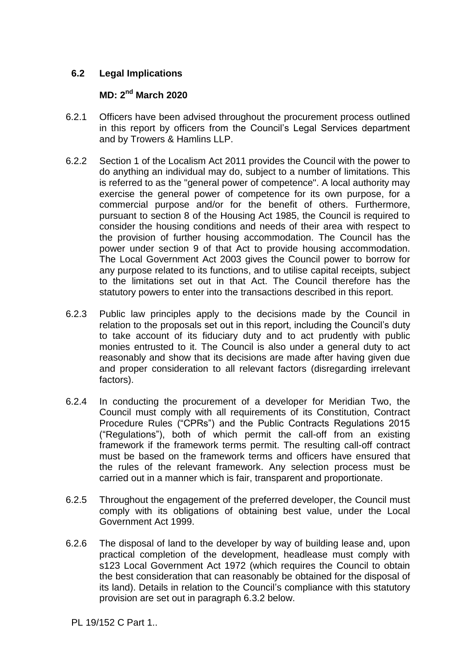#### **6.2 Legal Implications**

### **MD: 2 nd March 2020**

- 6.2.1 Officers have been advised throughout the procurement process outlined in this report by officers from the Council's Legal Services department and by Trowers & Hamlins LLP.
- 6.2.2 Section 1 of the Localism Act 2011 provides the Council with the power to do anything an individual may do, subject to a number of limitations. This is referred to as the "general power of competence". A local authority may exercise the general power of competence for its own purpose, for a commercial purpose and/or for the benefit of others. Furthermore, pursuant to section 8 of the Housing Act 1985, the Council is required to consider the housing conditions and needs of their area with respect to the provision of further housing accommodation. The Council has the power under section 9 of that Act to provide housing accommodation. The Local Government Act 2003 gives the Council power to borrow for any purpose related to its functions, and to utilise capital receipts, subject to the limitations set out in that Act. The Council therefore has the statutory powers to enter into the transactions described in this report.
- 6.2.3 Public law principles apply to the decisions made by the Council in relation to the proposals set out in this report, including the Council's duty to take account of its fiduciary duty and to act prudently with public monies entrusted to it. The Council is also under a general duty to act reasonably and show that its decisions are made after having given due and proper consideration to all relevant factors (disregarding irrelevant factors).
- 6.2.4 In conducting the procurement of a developer for Meridian Two, the Council must comply with all requirements of its Constitution, Contract Procedure Rules ("CPRs") and the Public Contracts Regulations 2015 ("Regulations"), both of which permit the call-off from an existing framework if the framework terms permit. The resulting call-off contract must be based on the framework terms and officers have ensured that the rules of the relevant framework. Any selection process must be carried out in a manner which is fair, transparent and proportionate.
- 6.2.5 Throughout the engagement of the preferred developer, the Council must comply with its obligations of obtaining best value, under the Local Government Act 1999.
- 6.2.6 The disposal of land to the developer by way of building lease and, upon practical completion of the development, headlease must comply with s123 Local Government Act 1972 (which requires the Council to obtain the best consideration that can reasonably be obtained for the disposal of its land). Details in relation to the Council's compliance with this statutory provision are set out in paragraph 6.3.2 below.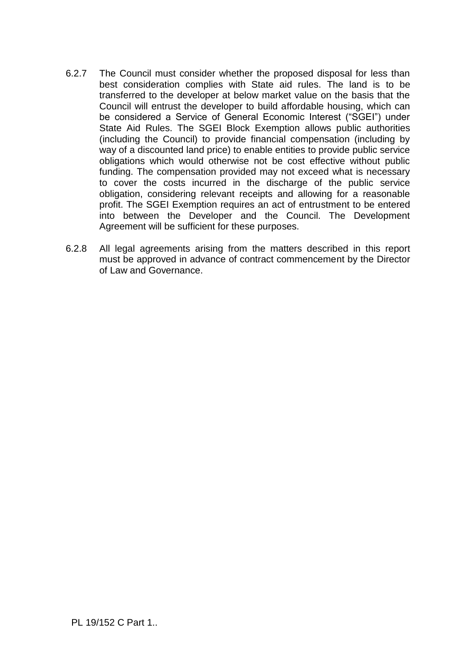- 6.2.7 The Council must consider whether the proposed disposal for less than best consideration complies with State aid rules. The land is to be transferred to the developer at below market value on the basis that the Council will entrust the developer to build affordable housing, which can be considered a Service of General Economic Interest ("SGEI") under State Aid Rules. The SGEI Block Exemption allows public authorities (including the Council) to provide financial compensation (including by way of a discounted land price) to enable entities to provide public service obligations which would otherwise not be cost effective without public funding. The compensation provided may not exceed what is necessary to cover the costs incurred in the discharge of the public service obligation, considering relevant receipts and allowing for a reasonable profit. The SGEI Exemption requires an act of entrustment to be entered into between the Developer and the Council. The Development Agreement will be sufficient for these purposes.
- 6.2.8 All legal agreements arising from the matters described in this report must be approved in advance of contract commencement by the Director of Law and Governance.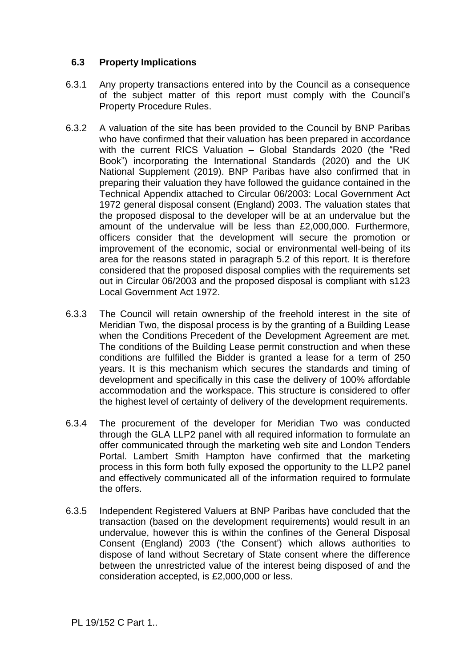#### **6.3 Property Implications**

- 6.3.1 Any property transactions entered into by the Council as a consequence of the subject matter of this report must comply with the Council's Property Procedure Rules.
- 6.3.2 A valuation of the site has been provided to the Council by BNP Paribas who have confirmed that their valuation has been prepared in accordance with the current RICS Valuation – Global Standards 2020 (the "Red Book") incorporating the International Standards (2020) and the UK National Supplement (2019). BNP Paribas have also confirmed that in preparing their valuation they have followed the guidance contained in the Technical Appendix attached to Circular 06/2003: Local Government Act 1972 general disposal consent (England) 2003. The valuation states that the proposed disposal to the developer will be at an undervalue but the amount of the undervalue will be less than £2,000,000. Furthermore, officers consider that the development will secure the promotion or improvement of the economic, social or environmental well-being of its area for the reasons stated in paragraph 5.2 of this report. It is therefore considered that the proposed disposal complies with the requirements set out in Circular 06/2003 and the proposed disposal is compliant with s123 Local Government Act 1972.
- 6.3.3 The Council will retain ownership of the freehold interest in the site of Meridian Two, the disposal process is by the granting of a Building Lease when the Conditions Precedent of the Development Agreement are met. The conditions of the Building Lease permit construction and when these conditions are fulfilled the Bidder is granted a lease for a term of 250 years. It is this mechanism which secures the standards and timing of development and specifically in this case the delivery of 100% affordable accommodation and the workspace. This structure is considered to offer the highest level of certainty of delivery of the development requirements.
- 6.3.4 The procurement of the developer for Meridian Two was conducted through the GLA LLP2 panel with all required information to formulate an offer communicated through the marketing web site and London Tenders Portal. Lambert Smith Hampton have confirmed that the marketing process in this form both fully exposed the opportunity to the LLP2 panel and effectively communicated all of the information required to formulate the offers.
- 6.3.5 Independent Registered Valuers at BNP Paribas have concluded that the transaction (based on the development requirements) would result in an undervalue, however this is within the confines of the General Disposal Consent (England) 2003 ('the Consent') which allows authorities to dispose of land without Secretary of State consent where the difference between the unrestricted value of the interest being disposed of and the consideration accepted, is £2,000,000 or less.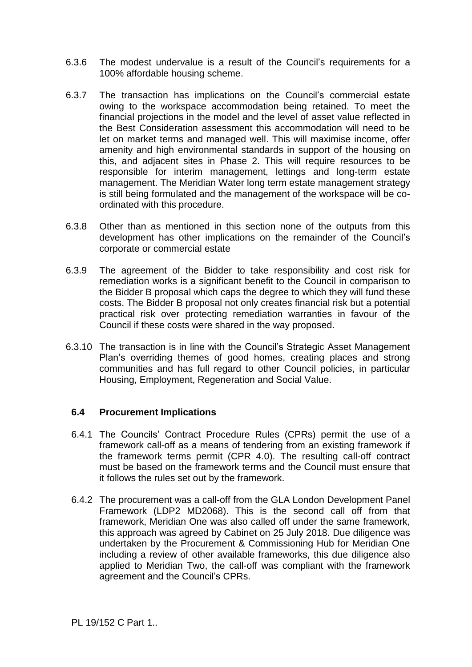- 6.3.6 The modest undervalue is a result of the Council's requirements for a 100% affordable housing scheme.
- 6.3.7 The transaction has implications on the Council's commercial estate owing to the workspace accommodation being retained. To meet the financial projections in the model and the level of asset value reflected in the Best Consideration assessment this accommodation will need to be let on market terms and managed well. This will maximise income, offer amenity and high environmental standards in support of the housing on this, and adjacent sites in Phase 2. This will require resources to be responsible for interim management, lettings and long-term estate management. The Meridian Water long term estate management strategy is still being formulated and the management of the workspace will be coordinated with this procedure.
- 6.3.8 Other than as mentioned in this section none of the outputs from this development has other implications on the remainder of the Council's corporate or commercial estate
- 6.3.9 The agreement of the Bidder to take responsibility and cost risk for remediation works is a significant benefit to the Council in comparison to the Bidder B proposal which caps the degree to which they will fund these costs. The Bidder B proposal not only creates financial risk but a potential practical risk over protecting remediation warranties in favour of the Council if these costs were shared in the way proposed.
- 6.3.10 The transaction is in line with the Council's Strategic Asset Management Plan's overriding themes of good homes, creating places and strong communities and has full regard to other Council policies, in particular Housing, Employment, Regeneration and Social Value.

#### **6.4 Procurement Implications**

- 6.4.1 The Councils' Contract Procedure Rules (CPRs) permit the use of a framework call-off as a means of tendering from an existing framework if the framework terms permit (CPR 4.0). The resulting call-off contract must be based on the framework terms and the Council must ensure that it follows the rules set out by the framework.
- 6.4.2 The procurement was a call-off from the GLA London Development Panel Framework (LDP2 MD2068). This is the second call off from that framework, Meridian One was also called off under the same framework, this approach was agreed by Cabinet on 25 July 2018. Due diligence was undertaken by the Procurement & Commissioning Hub for Meridian One including a review of other available frameworks, this due diligence also applied to Meridian Two, the call-off was compliant with the framework agreement and the Council's CPRs.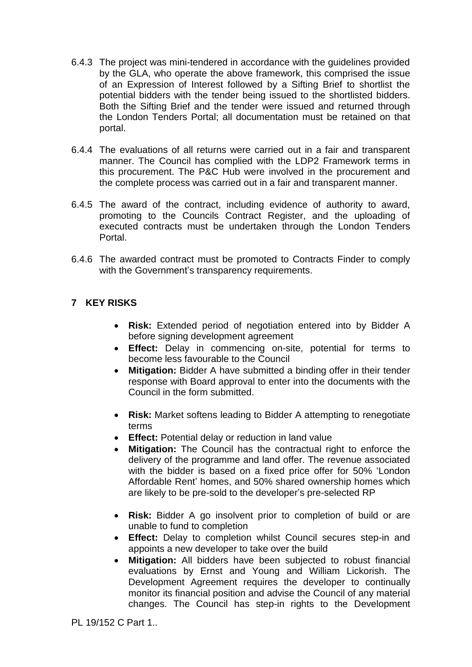- 6.4.3 The project was mini-tendered in accordance with the guidelines provided by the GLA, who operate the above framework, this comprised the issue of an Expression of Interest followed by a Sifting Brief to shortlist the potential bidders with the tender being issued to the shortlisted bidders. Both the Sifting Brief and the tender were issued and returned through the London Tenders Portal; all documentation must be retained on that portal.
- 6.4.4 The evaluations of all returns were carried out in a fair and transparent manner. The Council has complied with the LDP2 Framework terms in this procurement. The P&C Hub were involved in the procurement and the complete process was carried out in a fair and transparent manner.
- 6.4.5 The award of the contract, including evidence of authority to award, promoting to the Councils Contract Register, and the uploading of executed contracts must be undertaken through the London Tenders Portal.
- 6.4.6 The awarded contract must be promoted to Contracts Finder to comply with the Government's transparency requirements.

#### **7 KEY RISKS**

- **Risk:** Extended period of negotiation entered into by Bidder A before signing development agreement
- **Effect:** Delay in commencing on-site, potential for terms to become less favourable to the Council
- **Mitigation:** Bidder A have submitted a binding offer in their tender response with Board approval to enter into the documents with the Council in the form submitted.
- **Risk:** Market softens leading to Bidder A attempting to renegotiate terms
- **Effect:** Potential delay or reduction in land value
- **Mitigation:** The Council has the contractual right to enforce the delivery of the programme and land offer. The revenue associated with the bidder is based on a fixed price offer for 50% 'London Affordable Rent' homes, and 50% shared ownership homes which are likely to be pre-sold to the developer's pre-selected RP
- **Risk:** Bidder A go insolvent prior to completion of build or are unable to fund to completion
- **Effect:** Delay to completion whilst Council secures step-in and appoints a new developer to take over the build
- **Mitigation:** All bidders have been subjected to robust financial evaluations by Ernst and Young and William Lickorish. The Development Agreement requires the developer to continually monitor its financial position and advise the Council of any material changes. The Council has step-in rights to the Development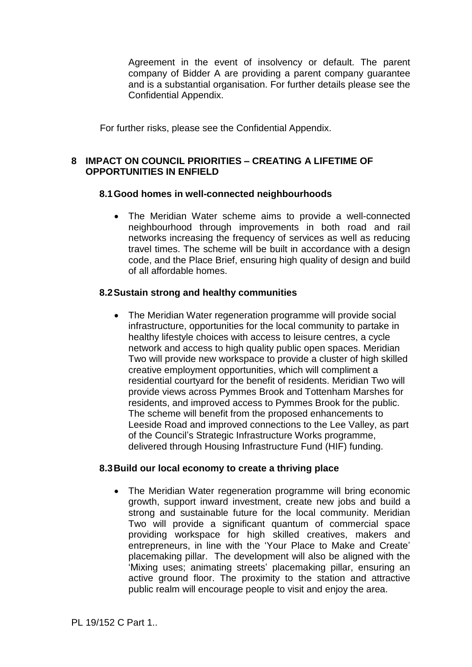Agreement in the event of insolvency or default. The parent company of Bidder A are providing a parent company guarantee and is a substantial organisation. For further details please see the Confidential Appendix.

For further risks, please see the Confidential Appendix.

#### **8 IMPACT ON COUNCIL PRIORITIES – CREATING A LIFETIME OF OPPORTUNITIES IN ENFIELD**

#### **8.1Good homes in well-connected neighbourhoods**

 The Meridian Water scheme aims to provide a well-connected neighbourhood through improvements in both road and rail networks increasing the frequency of services as well as reducing travel times. The scheme will be built in accordance with a design code, and the Place Brief, ensuring high quality of design and build of all affordable homes.

#### **8.2Sustain strong and healthy communities**

• The Meridian Water regeneration programme will provide social infrastructure, opportunities for the local community to partake in healthy lifestyle choices with access to leisure centres, a cycle network and access to high quality public open spaces. Meridian Two will provide new workspace to provide a cluster of high skilled creative employment opportunities, which will compliment a residential courtyard for the benefit of residents. Meridian Two will provide views across Pymmes Brook and Tottenham Marshes for residents, and improved access to Pymmes Brook for the public. The scheme will benefit from the proposed enhancements to Leeside Road and improved connections to the Lee Valley, as part of the Council's Strategic Infrastructure Works programme, delivered through Housing Infrastructure Fund (HIF) funding.

#### **8.3Build our local economy to create a thriving place**

• The Meridian Water regeneration programme will bring economic growth, support inward investment, create new jobs and build a strong and sustainable future for the local community. Meridian Two will provide a significant quantum of commercial space providing workspace for high skilled creatives, makers and entrepreneurs, in line with the 'Your Place to Make and Create' placemaking pillar. The development will also be aligned with the 'Mixing uses; animating streets' placemaking pillar, ensuring an active ground floor. The proximity to the station and attractive public realm will encourage people to visit and enjoy the area.